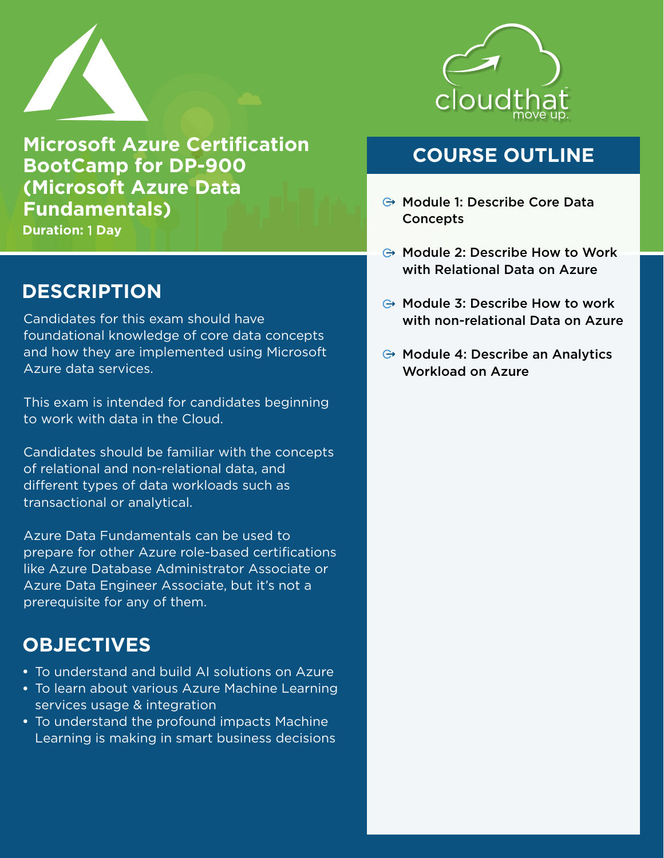

**Microsoft Azure Certification BootCamp for DP-900 (Microsoft Azure Data Fundamentals)**

**Duration:** 1 **Day**

### **DESCRIPTION**

Candidates for this exam should have foundational knowledge of core data concepts and how they are implemented using Microsoft Azure data services.

This exam is intended for candidates beginning to work with data in the Cloud.

Candidates should be familiar with the concepts of relational and non-relational data, and different types of data workloads such as transactional or analytical.

Azure Data Fundamentals can be used to prepare for other Azure role-based certifications like Azure Database Administrator Associate or Azure Data Engineer Associate, but it's not a prerequisite for any of them.

### **OBJECTIVES**

- To understand and build AI solutions on Azure
- To learn about various Azure Machine Learning services usage & integration
- To understand the profound impacts Machine Learning is making in smart business decisions



### **COURSE OUTLINE**

- **→ Module 1: Describe Core Data Concepts**
- $\ominus$  Module 2: Describe How to Work with Relational Data on Azure
- $\ominus$  Module 3: Describe How to work with non-relational Data on Azure
- $\ominus$  Module 4: Describe an Analytics Workload on Azure